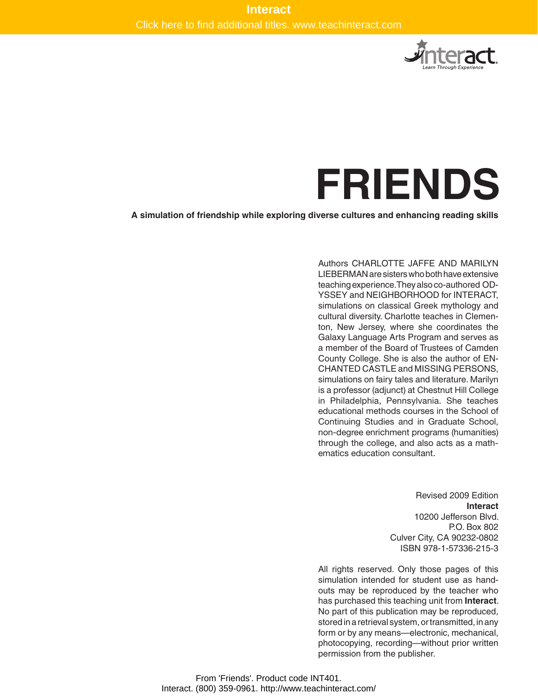

# **Friends**

**A simulation of friendship while exploring diverse cultures and enhancing reading skills**

Authors CHARLOTTE JAFFE AND MARILYN LIEBERMAN are sisters who both have extensive teaching experience.They also co-authored OD-YSSEY and NEIGHBORHOOD for INTERACT, simulations on classical Greek mythology and cultural diversity. Charlotte teaches in Clementon, New Jersey, where she coordinates the Galaxy Language Arts Program and serves as a member of the Board of Trustees of Camden County College. She is also the author of EN-CHANTED CASTLE and MISSING PERSONS, simulations on fairy tales and literature. Marilyn is a professor (adjunct) at Chestnut Hill College in Philadelphia, Pennsylvania. She teaches educational methods courses in the School of Continuing Studies and in Graduate School, non-degree enrichment programs (humanities) through the college, and also acts as a mathematics education consultant.

> Revised 2009 Edition **Interact** 10200 Jefferson Blvd. P.O. Box 802 Culver City, CA 90232-0802 ISBN 978-1-57336-215-3

All rights reserved. Only those pages of this simulation intended for student use as handouts may be reproduced by the teacher who has purchased this teaching unit from **Interact**. No part of this publication may be reproduced, stored in a retrieval system, or transmitted, in any form or by any means—electronic, mechanical, photocopying, recording—without prior written permission from the publisher.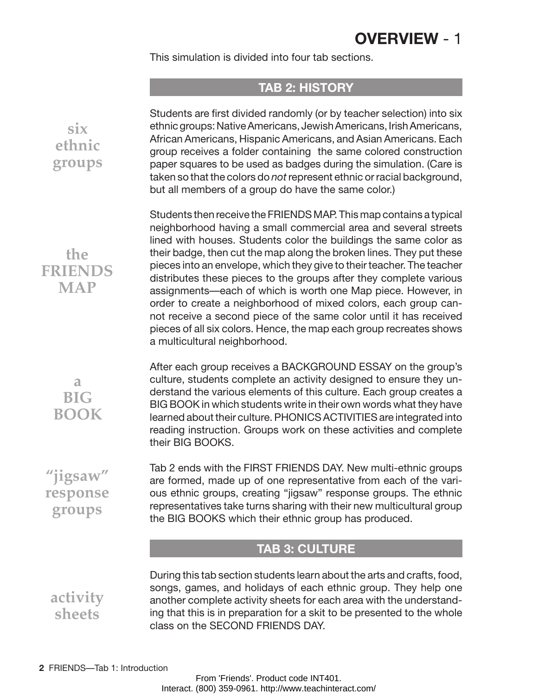## **OVERVIEW** - 1

This simulation is divided into four tab sections.

#### **TAB 2: HISTORY**

Students are first divided randomly (or by teacher selection) into six ethnic groups: Native Americans, Jewish Americans, Irish Americans, African Americans, Hispanic Americans, and Asian Americans. Each group receives a folder containing the same colored construction paper squares to be used as badges during the simulation. (Care is taken so that the colors do *not*represent ethnic or racial background, but all members of a group do have the same color.)

Students then receive the FRIENDS MAP. This map contains a typical neighborhood having a small commercial area and several streets lined with houses. Students color the buildings the same color as their badge, then cut the map along the broken lines. They put these pieces into an envelope, which they give to their teacher. The teacher distributes these pieces to the groups after they complete various assignments—each of which is worth one Map piece. However, in order to create a neighborhood of mixed colors, each group cannot receive a second piece of the same color until it has received pieces of all six colors. Hence, the map each group recreates shows a multicultural neighborhood.

After each group receives a BACKGROUND ESSAY on the group's culture, students complete an activity designed to ensure they understand the various elements of this culture. Each group creates a BIG BOOK in which students write in their own words what they have learned about their culture. PHONICS ACTIVITIES are integrated into reading instruction. Groups work on these activities and complete their BIG BOOKS.

Tab 2 ends with the FIRST FRIENDS DAY. New multi-ethnic groups are formed, made up of one representative from each of the various ethnic groups, creating "jigsaw" response groups. The ethnic representatives take turns sharing with their new multicultural group the BIG BOOKS which their ethnic group has produced.

#### **TAB 3: CULTURE**

During this tab section students learn about the arts and crafts, food, songs, games, and holidays of each ethnic group. They help one another complete activity sheets for each area with the understanding that this is in preparation for a skit to be presented to the whole class on the SECOND FRIENDS DAY.

**six ethnic groups**

**the FRIENDS MAP**

> **a BIG BOOK**

**"jigsaw" response groups**

**activity sheets**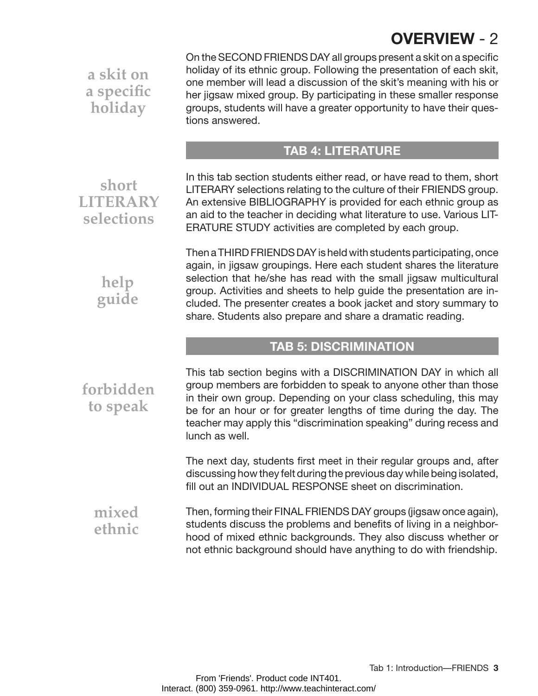# **OVERVIEW** - 2

**a skit on a specific holiday**

On the SECOND FRIENDS DAY all groups present a skit on a specific holiday of its ethnic group. Following the presentation of each skit, one member will lead a discussion of the skit's meaning with his or her jigsaw mixed group. By participating in these smaller response groups, students will have a greater opportunity to have their questions answered.

### **Tab 4: Literature**

**short literary selections**

> **help guide**

**forbidden**

**to speak**

In this tab section students either read, or have read to them, short LITERARY selections relating to the culture of their FRIENDS group. An extensive BIBLIOGRAPHY is provided for each ethnic group as an aid to the teacher in deciding what literature to use. Various LIT-

Then a THIRD FRIENDS DAY is held with students participating, once again, in jigsaw groupings. Here each student shares the literature selection that he/she has read with the small jigsaw multicultural group. Activities and sheets to help guide the presentation are included. The presenter creates a book jacket and story summary to share. Students also prepare and share a dramatic reading.

#### **TAB 5: DISCRIMINATION**

This tab section begins with a DISCRIMINATION DAY in which all group members are forbidden to speak to anyone other than those in their own group. Depending on your class scheduling, this may be for an hour or for greater lengths of time during the day. The teacher may apply this "discrimination speaking" during recess and lunch as well.

The next day, students first meet in their regular groups and, after discussing how they felt during the previous day while being isolated, fill out an INDIVIDUAL RESPONSE sheet on discrimination.

Then, forming their FINAL FRIENDS DAY groups (jigsaw once again), students discuss the problems and benefits of living in a neighborhood of mixed ethnic backgrounds. They also discuss whether or not ethnic background should have anything to do with friendship. **mixed ethnic**

ERATURE STUDY activities are completed by each group.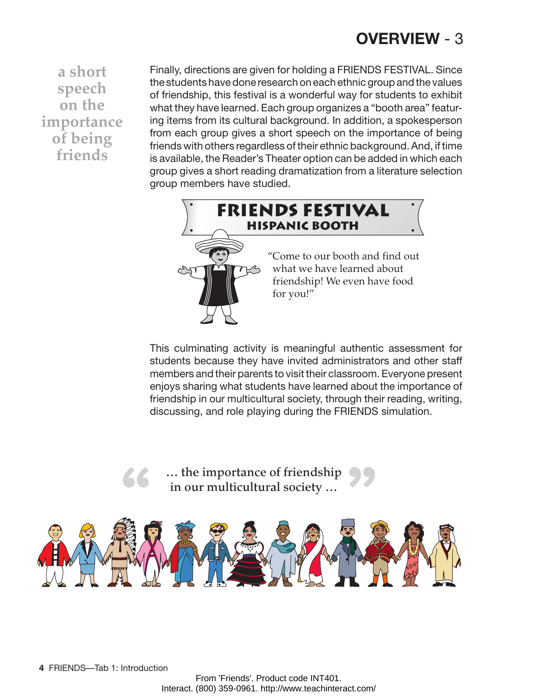## **OVERVIEW** - 3

**a short speech on the importance of being friends**

Finally, directions are given for holding a FRIENDS FESTIVAL. Since the students have done research on each ethnic group and the values of friendship, this festival is a wonderful way for students to exhibit what they have learned. Each group organizes a "booth area" featuring items from its cultural background. In addition, a spokesperson from each group gives a short speech on the importance of being friends with others regardless of their ethnic background. And, if time is available, the Reader's Theater option can be added in which each group gives a short reading dramatization from a literature selection group members have studied.



This culminating activity is meaningful authentic assessment for students because they have invited administrators and other staff members and their parents to visit their classroom. Everyone present enjoys sharing what students have learned about the importance of friendship in our multicultural society, through their reading, writing, discussing, and role playing during the FRIENDS simulation.

**66** ... the importance of friendship **99** in our multicultural society …